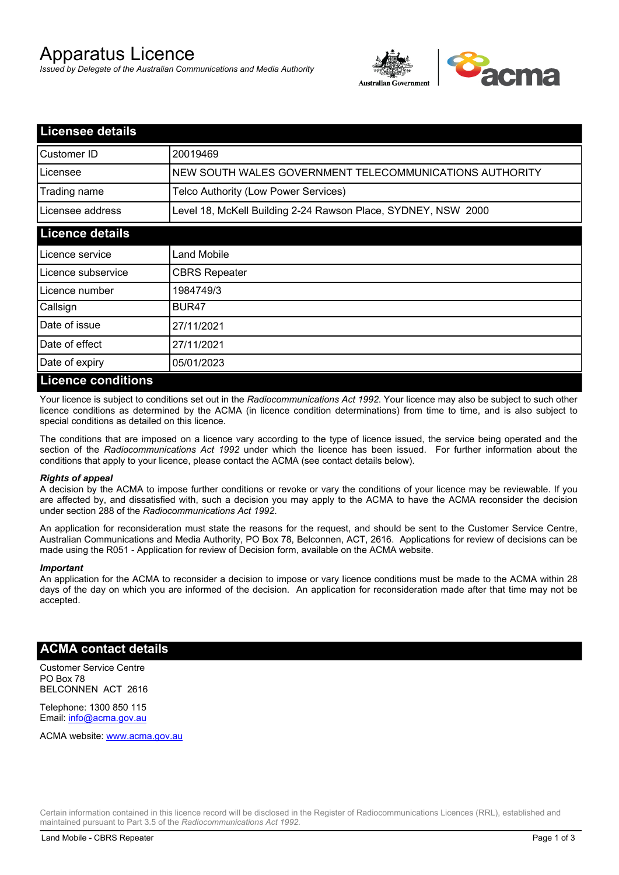# Apparatus Licence

*Issued by Delegate of the Australian Communications and Media Authority*



| <b>Licensee details</b> |                                                               |
|-------------------------|---------------------------------------------------------------|
| Customer ID             | 20019469                                                      |
| Licensee                | NEW SOUTH WALES GOVERNMENT TELECOMMUNICATIONS AUTHORITY       |
| Trading name            | Telco Authority (Low Power Services)                          |
| Licensee address        | Level 18, McKell Building 2-24 Rawson Place, SYDNEY, NSW 2000 |
| <b>Licence details</b>  |                                                               |
| Licence service         | Land Mobile                                                   |
| Licence subservice      | <b>CBRS Repeater</b>                                          |
| Licence number          | 1984749/3                                                     |
| Callsign                | BUR <sub>47</sub>                                             |
| Date of issue           | 27/11/2021                                                    |
| Date of effect          | 27/11/2021                                                    |
| Date of expiry          | 05/01/2023                                                    |
| Licence conditions      |                                                               |

## **Licence conditions**

Your licence is subject to conditions set out in the *Radiocommunications Act 1992*. Your licence may also be subject to such other licence conditions as determined by the ACMA (in licence condition determinations) from time to time, and is also subject to special conditions as detailed on this licence.

The conditions that are imposed on a licence vary according to the type of licence issued, the service being operated and the section of the *Radiocommunications Act 1992* under which the licence has been issued. For further information about the conditions that apply to your licence, please contact the ACMA (see contact details below).

#### *Rights of appeal*

A decision by the ACMA to impose further conditions or revoke or vary the conditions of your licence may be reviewable. If you are affected by, and dissatisfied with, such a decision you may apply to the ACMA to have the ACMA reconsider the decision under section 288 of the *Radiocommunications Act 1992*.

An application for reconsideration must state the reasons for the request, and should be sent to the Customer Service Centre, Australian Communications and Media Authority, PO Box 78, Belconnen, ACT, 2616. Applications for review of decisions can be made using the R051 - Application for review of Decision form, available on the ACMA website.

#### *Important*

An application for the ACMA to reconsider a decision to impose or vary licence conditions must be made to the ACMA within 28 days of the day on which you are informed of the decision. An application for reconsideration made after that time may not be accepted.

### **ACMA contact details**

Customer Service Centre PO Box 78 BELCONNEN ACT 2616

Telephone: 1300 850 115 Email: info@acma.gov.au

ACMA website: www.acma.gov.au

Certain information contained in this licence record will be disclosed in the Register of Radiocommunications Licences (RRL), established and maintained pursuant to Part 3.5 of the *Radiocommunications Act 1992.*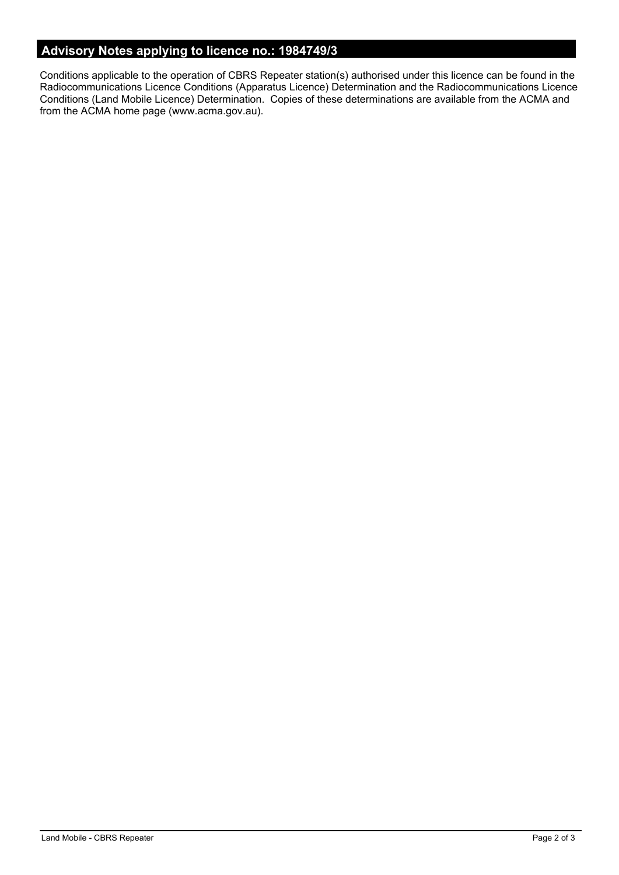# **Advisory Notes applying to licence no.: 1984749/3**

Conditions applicable to the operation of CBRS Repeater station(s) authorised under this licence can be found in the Radiocommunications Licence Conditions (Apparatus Licence) Determination and the Radiocommunications Licence Conditions (Land Mobile Licence) Determination. Copies of these determinations are available from the ACMA and from the ACMA home page (www.acma.gov.au).